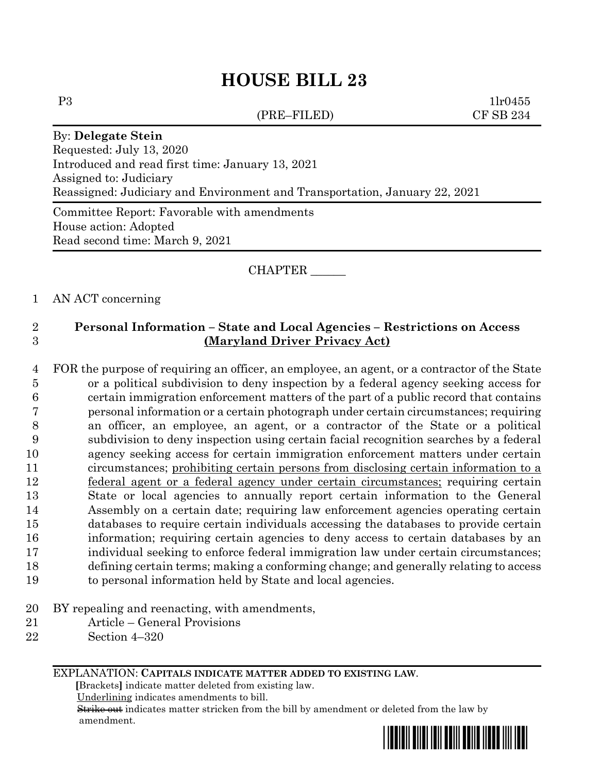(PRE–FILED) CF SB 234

 $P3$  1lr0455

# By: **Delegate Stein** Requested: July 13, 2020 Introduced and read first time: January 13, 2021 Assigned to: Judiciary Reassigned: Judiciary and Environment and Transportation, January 22, 2021

Committee Report: Favorable with amendments House action: Adopted Read second time: March 9, 2021

### CHAPTER \_\_\_\_\_\_

### 1 AN ACT concerning

## 2 **Personal Information – State and Local Agencies – Restrictions on Access**  3 **(Maryland Driver Privacy Act)**

- 4 FOR the purpose of requiring an officer, an employee, an agent, or a contractor of the State 5 or a political subdivision to deny inspection by a federal agency seeking access for 6 certain immigration enforcement matters of the part of a public record that contains 7 personal information or a certain photograph under certain circumstances; requiring 8 an officer, an employee, an agent, or a contractor of the State or a political 9 subdivision to deny inspection using certain facial recognition searches by a federal 10 agency seeking access for certain immigration enforcement matters under certain 11 circumstances; prohibiting certain persons from disclosing certain information to a 12 federal agent or a federal agency under certain circumstances; requiring certain 13 State or local agencies to annually report certain information to the General 14 Assembly on a certain date; requiring law enforcement agencies operating certain 15 databases to require certain individuals accessing the databases to provide certain 16 information; requiring certain agencies to deny access to certain databases by an 17 individual seeking to enforce federal immigration law under certain circumstances; 18 defining certain terms; making a conforming change; and generally relating to access 19 to personal information held by State and local agencies.
- 20 BY repealing and reenacting, with amendments,
- 21 Article General Provisions
- 22 Section 4–320

EXPLANATION: **CAPITALS INDICATE MATTER ADDED TO EXISTING LAW**.

 **[**Brackets**]** indicate matter deleted from existing law.

Underlining indicates amendments to bill.

 Strike out indicates matter stricken from the bill by amendment or deleted from the law by amendment.

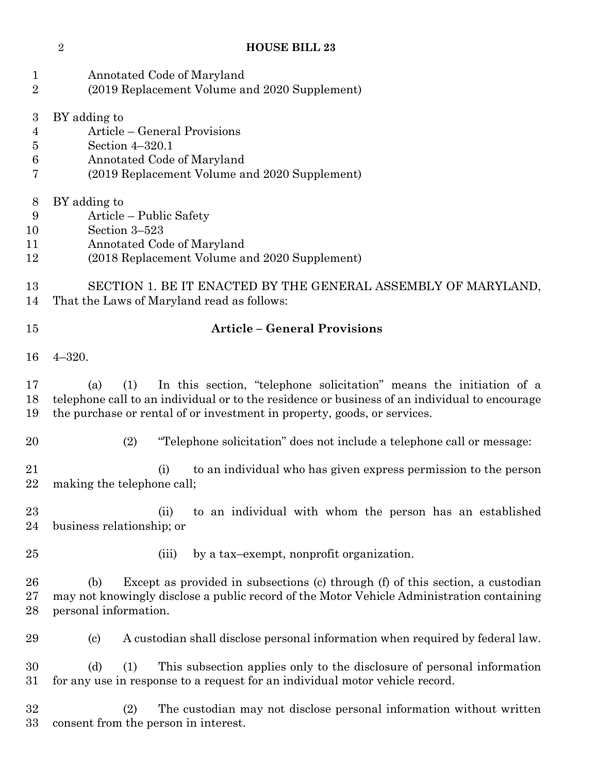| $\mathbf 1$<br>$\sqrt{2}$                         | Annotated Code of Maryland<br>(2019 Replacement Volume and 2020 Supplement)                                                                                                                                                                                    |
|---------------------------------------------------|----------------------------------------------------------------------------------------------------------------------------------------------------------------------------------------------------------------------------------------------------------------|
| $\boldsymbol{3}$<br>4<br>$\overline{5}$<br>6<br>7 | BY adding to<br>Article – General Provisions<br>Section 4-320.1<br>Annotated Code of Maryland<br>(2019 Replacement Volume and 2020 Supplement)                                                                                                                 |
| 8<br>$\boldsymbol{9}$<br>10<br>11<br>12           | BY adding to<br>Article – Public Safety<br>Section 3-523<br>Annotated Code of Maryland<br>(2018 Replacement Volume and 2020 Supplement)                                                                                                                        |
| 13<br>14                                          | SECTION 1. BE IT ENACTED BY THE GENERAL ASSEMBLY OF MARYLAND,<br>That the Laws of Maryland read as follows:                                                                                                                                                    |
| 15                                                | <b>Article - General Provisions</b>                                                                                                                                                                                                                            |
| 16                                                | $4 - 320.$                                                                                                                                                                                                                                                     |
| 17<br>18<br>19                                    | In this section, "telephone solicitation" means the initiation of a<br>(1)<br>(a)<br>telephone call to an individual or to the residence or business of an individual to encourage<br>the purchase or rental of or investment in property, goods, or services. |
| 20                                                | (2)<br>"Telephone solicitation" does not include a telephone call or message:                                                                                                                                                                                  |
| 21<br>22                                          | to an individual who has given express permission to the person<br>(i)<br>making the telephone call;                                                                                                                                                           |
| 23<br>24                                          | to an individual with whom the person has an established<br>(ii)<br>business relationship; or                                                                                                                                                                  |
| 25                                                | by a tax-exempt, nonprofit organization.<br>(iii)                                                                                                                                                                                                              |
| 26<br>27<br>28                                    | Except as provided in subsections (c) through (f) of this section, a custodian<br>(b)<br>may not knowingly disclose a public record of the Motor Vehicle Administration containing<br>personal information.                                                    |
| 29                                                | A custodian shall disclose personal information when required by federal law.<br>$\left( \mathrm{c}\right)$                                                                                                                                                    |
| 30<br>31                                          | This subsection applies only to the disclosure of personal information<br>(d)<br>(1)<br>for any use in response to a request for an individual motor vehicle record.                                                                                           |
| 32<br>33                                          | The custodian may not disclose personal information without written<br>(2)<br>consent from the person in interest.                                                                                                                                             |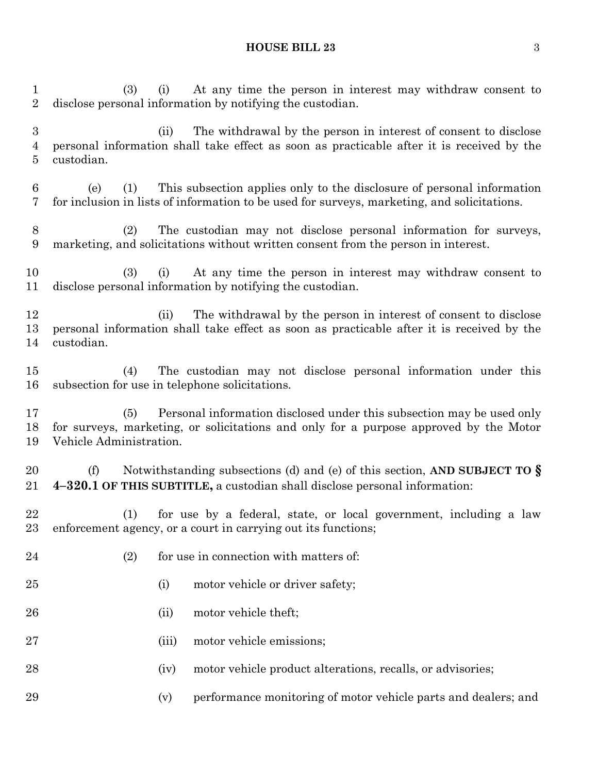(3) (i) At any time the person in interest may withdraw consent to disclose personal information by notifying the custodian. (ii) The withdrawal by the person in interest of consent to disclose personal information shall take effect as soon as practicable after it is received by the custodian. (e) (1) This subsection applies only to the disclosure of personal information for inclusion in lists of information to be used for surveys, marketing, and solicitations. (2) The custodian may not disclose personal information for surveys, marketing, and solicitations without written consent from the person in interest. (3) (i) At any time the person in interest may withdraw consent to disclose personal information by notifying the custodian. (ii) The withdrawal by the person in interest of consent to disclose personal information shall take effect as soon as practicable after it is received by the custodian. (4) The custodian may not disclose personal information under this subsection for use in telephone solicitations. (5) Personal information disclosed under this subsection may be used only for surveys, marketing, or solicitations and only for a purpose approved by the Motor Vehicle Administration. (f) Notwithstanding subsections (d) and (e) of this section, **AND SUBJECT TO § 4–320.1 OF THIS SUBTITLE,** a custodian shall disclose personal information: (1) for use by a federal, state, or local government, including a law enforcement agency, or a court in carrying out its functions; 24 (2) for use in connection with matters of: 25 (i) motor vehicle or driver safety; 26 (ii) motor vehicle theft; 27 (iii) motor vehicle emissions; 28 (iv) motor vehicle product alterations, recalls, or advisories; (v) performance monitoring of motor vehicle parts and dealers; and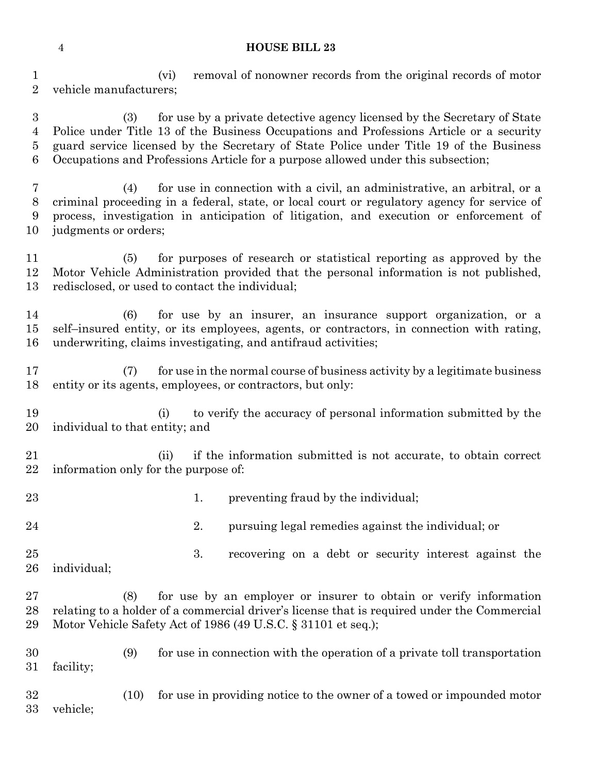(vi) removal of nonowner records from the original records of motor vehicle manufacturers;

 (3) for use by a private detective agency licensed by the Secretary of State Police under Title 13 of the Business Occupations and Professions Article or a security guard service licensed by the Secretary of State Police under Title 19 of the Business Occupations and Professions Article for a purpose allowed under this subsection;

 (4) for use in connection with a civil, an administrative, an arbitral, or a criminal proceeding in a federal, state, or local court or regulatory agency for service of process, investigation in anticipation of litigation, and execution or enforcement of judgments or orders;

 (5) for purposes of research or statistical reporting as approved by the Motor Vehicle Administration provided that the personal information is not published, redisclosed, or used to contact the individual;

 (6) for use by an insurer, an insurance support organization, or a self–insured entity, or its employees, agents, or contractors, in connection with rating, underwriting, claims investigating, and antifraud activities;

 (7) for use in the normal course of business activity by a legitimate business entity or its agents, employees, or contractors, but only:

 (i) to verify the accuracy of personal information submitted by the individual to that entity; and

 (ii) if the information submitted is not accurate, to obtain correct information only for the purpose of:

23 1. preventing fraud by the individual;

24 24 2. pursuing legal remedies against the individual; or

 3. recovering on a debt or security interest against the individual;

 (8) for use by an employer or insurer to obtain or verify information relating to a holder of a commercial driver's license that is required under the Commercial Motor Vehicle Safety Act of 1986 (49 U.S.C. § 31101 et seq.);

 (9) for use in connection with the operation of a private toll transportation facility;

 (10) for use in providing notice to the owner of a towed or impounded motor vehicle;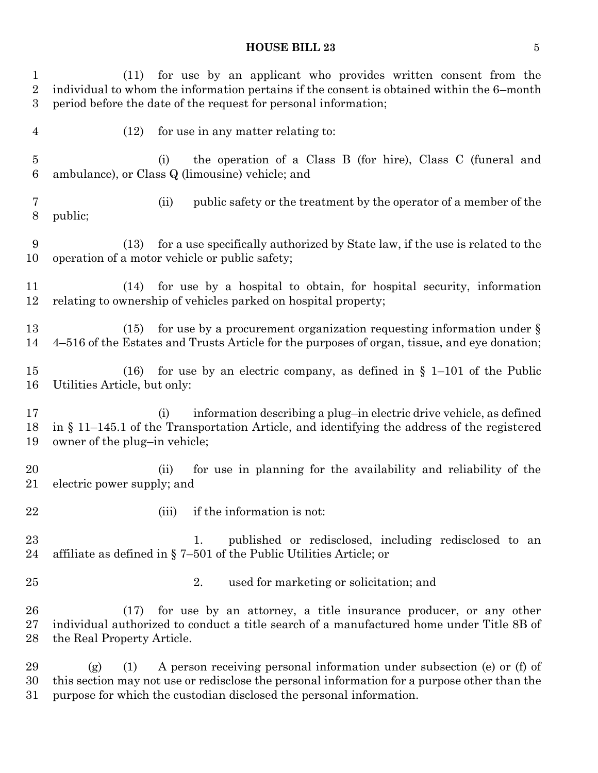| 1<br>$\overline{2}$<br>3 | for use by an applicant who provides written consent from the<br>(11)<br>individual to whom the information pertains if the consent is obtained within the 6-month<br>period before the date of the request for personal information; |
|--------------------------|---------------------------------------------------------------------------------------------------------------------------------------------------------------------------------------------------------------------------------------|
| $\overline{4}$           | (12)<br>for use in any matter relating to:                                                                                                                                                                                            |
| $\overline{5}$<br>6      | the operation of a Class B (for hire), Class C (funeral and<br>(i)<br>ambulance), or Class Q (limousine) vehicle; and                                                                                                                 |
| 7<br>$8\,$               | public safety or the treatment by the operator of a member of the<br>(ii)<br>public;                                                                                                                                                  |
| 9<br>10                  | for a use specifically authorized by State law, if the use is related to the<br>(13)<br>operation of a motor vehicle or public safety;                                                                                                |
| 11<br>12                 | for use by a hospital to obtain, for hospital security, information<br>(14)<br>relating to ownership of vehicles parked on hospital property;                                                                                         |
| 13<br>14                 | for use by a procurement organization requesting information under $\S$<br>(15)<br>4-516 of the Estates and Trusts Article for the purposes of organ, tissue, and eye donation;                                                       |
| 15<br>16                 | for use by an electric company, as defined in $\S$ 1-101 of the Public<br>(16)<br>Utilities Article, but only:                                                                                                                        |
| 17<br>18<br>19           | information describing a plug-in electric drive vehicle, as defined<br>(i)<br>in § 11-145.1 of the Transportation Article, and identifying the address of the registered<br>owner of the plug-in vehicle;                             |
| 20<br>21                 | for use in planning for the availability and reliability of the<br>(ii)<br>electric power supply; and                                                                                                                                 |
| 22                       | (iii)<br>if the information is not:                                                                                                                                                                                                   |
| 23<br>24                 | published or redisclosed, including redisclosed to an<br>1.<br>affiliate as defined in $\S$ 7-501 of the Public Utilities Article; or                                                                                                 |
| $25\,$                   | 2.<br>used for marketing or solicitation; and                                                                                                                                                                                         |
| 26<br>$27\,$<br>28       | for use by an attorney, a title insurance producer, or any other<br>(17)<br>individual authorized to conduct a title search of a manufactured home under Title 8B of<br>the Real Property Article.                                    |
| 29<br>30                 | A person receiving personal information under subsection (e) or (f) of<br>(g)<br>(1)<br>this section may not use or redisclose the personal information for a purpose other than the                                                  |

purpose for which the custodian disclosed the personal information.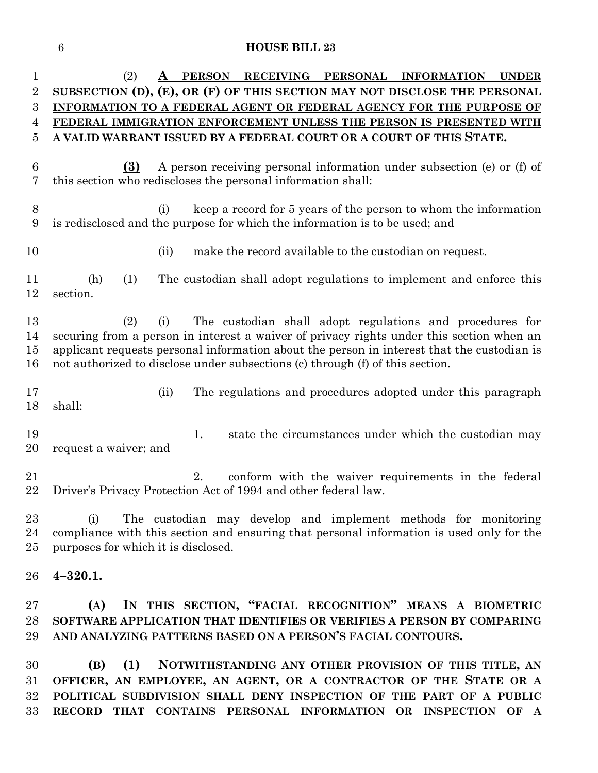| $\mathbf{1}$   | RECEIVING PERSONAL<br><b>PERSON</b><br><b>INFORMATION</b><br>(2)<br><b>UNDER</b><br>A                                           |
|----------------|---------------------------------------------------------------------------------------------------------------------------------|
| $\overline{2}$ | SUBSECTION (D), (E), OR (F) OF THIS SECTION MAY NOT DISCLOSE THE PERSONAL                                                       |
| 3              | INFORMATION TO A FEDERAL AGENT OR FEDERAL AGENCY FOR THE PURPOSE OF                                                             |
| 4              | FEDERAL IMMIGRATION ENFORCEMENT UNLESS THE PERSON IS PRESENTED WITH                                                             |
| 5              | A VALID WARRANT ISSUED BY A FEDERAL COURT OR A COURT OF THIS STATE.                                                             |
|                |                                                                                                                                 |
| 6              | A person receiving personal information under subsection (e) or (f) of<br>(3)                                                   |
| 7              | this section who rediscloses the personal information shall:                                                                    |
|                |                                                                                                                                 |
| 8              | keep a record for 5 years of the person to whom the information<br>(i)                                                          |
| 9              | is redisclosed and the purpose for which the information is to be used; and                                                     |
|                |                                                                                                                                 |
| 10             | make the record available to the custodian on request.<br>(ii)                                                                  |
|                |                                                                                                                                 |
| 11             | The custodian shall adopt regulations to implement and enforce this<br>(h)<br>(1)                                               |
| 12             | section.                                                                                                                        |
|                |                                                                                                                                 |
| 13             | The custodian shall adopt regulations and procedures for<br>(2)<br>(i)                                                          |
| 14             | securing from a person in interest a waiver of privacy rights under this section when an                                        |
| 15             | applicant requests personal information about the person in interest that the custodian is                                      |
| 16             | not authorized to disclose under subsections (c) through (f) of this section.                                                   |
|                |                                                                                                                                 |
| 17             | The regulations and procedures adopted under this paragraph<br>(ii)                                                             |
| 18             | shall:                                                                                                                          |
|                |                                                                                                                                 |
| 19             | state the circumstances under which the custodian may<br>1.                                                                     |
| 20             | request a waiver; and                                                                                                           |
|                |                                                                                                                                 |
| 21             | 2.<br>conform with the waiver requirements in the federal                                                                       |
| 22             | Driver's Privacy Protection Act of 1994 and other federal law.                                                                  |
| 23             |                                                                                                                                 |
|                | The custodian may develop and implement methods for monitoring<br>(i)                                                           |
| 24<br>25       | compliance with this section and ensuring that personal information is used only for the<br>purposes for which it is disclosed. |
|                |                                                                                                                                 |
| 26             | $4 - 320.1.$                                                                                                                    |
|                |                                                                                                                                 |
| $27\,$         | IN THIS SECTION, "FACIAL RECOGNITION" MEANS A BIOMETRIC<br>(A)                                                                  |
|                | SOFTWARE APPLICATION THAT IDENTIFIES OR VERIFIES A PERSON BY COMPARING                                                          |
| 28             |                                                                                                                                 |
| 29             | AND ANALYZING PATTERNS BASED ON A PERSON'S FACIAL CONTOURS.                                                                     |
| 30             | (B) (1) NOTWITHSTANDING ANY OTHER PROVISION OF THIS TITLE, AN                                                                   |

 **(B) (1) NOTWITHSTANDING ANY OTHER PROVISION OF THIS TITLE, AN OFFICER, AN EMPLOYEE, AN AGENT, OR A CONTRACTOR OF THE STATE OR A POLITICAL SUBDIVISION SHALL DENY INSPECTION OF THE PART OF A PUBLIC RECORD THAT CONTAINS PERSONAL INFORMATION OR INSPECTION OF A**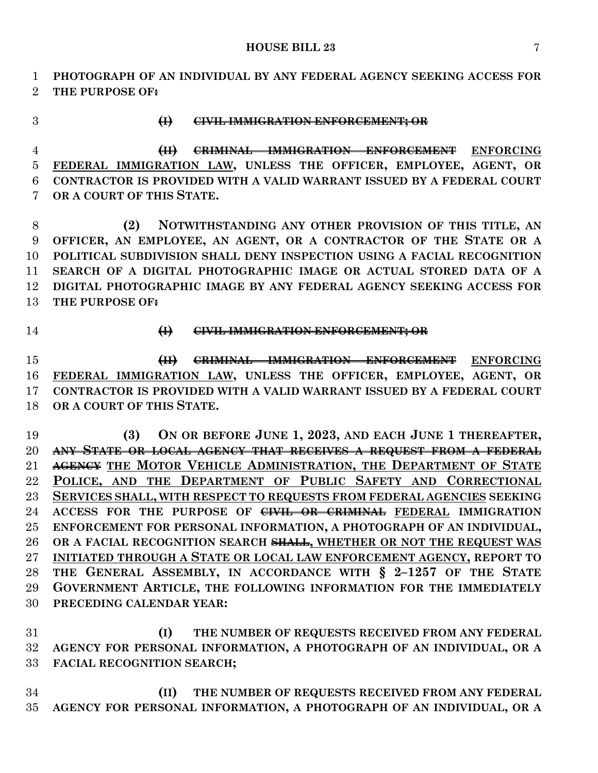**PHOTOGRAPH OF AN INDIVIDUAL BY ANY FEDERAL AGENCY SEEKING ACCESS FOR THE PURPOSE OF:**

### **(I) CIVIL IMMIGRATION ENFORCEMENT; OR**

 **(II) CRIMINAL IMMIGRATION ENFORCEMENT ENFORCING FEDERAL IMMIGRATION LAW, UNLESS THE OFFICER, EMPLOYEE, AGENT, OR CONTRACTOR IS PROVIDED WITH A VALID WARRANT ISSUED BY A FEDERAL COURT OR A COURT OF THIS STATE.**

 **(2) NOTWITHSTANDING ANY OTHER PROVISION OF THIS TITLE, AN OFFICER, AN EMPLOYEE, AN AGENT, OR A CONTRACTOR OF THE STATE OR A POLITICAL SUBDIVISION SHALL DENY INSPECTION USING A FACIAL RECOGNITION SEARCH OF A DIGITAL PHOTOGRAPHIC IMAGE OR ACTUAL STORED DATA OF A DIGITAL PHOTOGRAPHIC IMAGE BY ANY FEDERAL AGENCY SEEKING ACCESS FOR THE PURPOSE OF:**

#### **(I) CIVIL IMMIGRATION ENFORCEMENT; OR**

 **(II) CRIMINAL IMMIGRATION ENFORCEMENT ENFORCING FEDERAL IMMIGRATION LAW, UNLESS THE OFFICER, EMPLOYEE, AGENT, OR CONTRACTOR IS PROVIDED WITH A VALID WARRANT ISSUED BY A FEDERAL COURT OR A COURT OF THIS STATE.**

 **(3) ON OR BEFORE JUNE 1, 2023, AND EACH JUNE 1 THEREAFTER, ANY STATE OR LOCAL AGENCY THAT RECEIVES A REQUEST FROM A FEDERAL AGENCY THE MOTOR VEHICLE ADMINISTRATION, THE DEPARTMENT OF STATE POLICE, AND THE DEPARTMENT OF PUBLIC SAFETY AND CORRECTIONAL SERVICES SHALL, WITH RESPECT TO REQUESTS FROM FEDERAL AGENCIES SEEKING ACCESS FOR THE PURPOSE OF CIVIL OR CRIMINAL FEDERAL IMMIGRATION ENFORCEMENT FOR PERSONAL INFORMATION, A PHOTOGRAPH OF AN INDIVIDUAL, OR A FACIAL RECOGNITION SEARCH SHALL, WHETHER OR NOT THE REQUEST WAS INITIATED THROUGH A STATE OR LOCAL LAW ENFORCEMENT AGENCY, REPORT TO THE GENERAL ASSEMBLY, IN ACCORDANCE WITH § 2–1257 OF THE STATE GOVERNMENT ARTICLE, THE FOLLOWING INFORMATION FOR THE IMMEDIATELY PRECEDING CALENDAR YEAR:**

 **(I) THE NUMBER OF REQUESTS RECEIVED FROM ANY FEDERAL AGENCY FOR PERSONAL INFORMATION, A PHOTOGRAPH OF AN INDIVIDUAL, OR A FACIAL RECOGNITION SEARCH;**

 **(II) THE NUMBER OF REQUESTS RECEIVED FROM ANY FEDERAL AGENCY FOR PERSONAL INFORMATION, A PHOTOGRAPH OF AN INDIVIDUAL, OR A**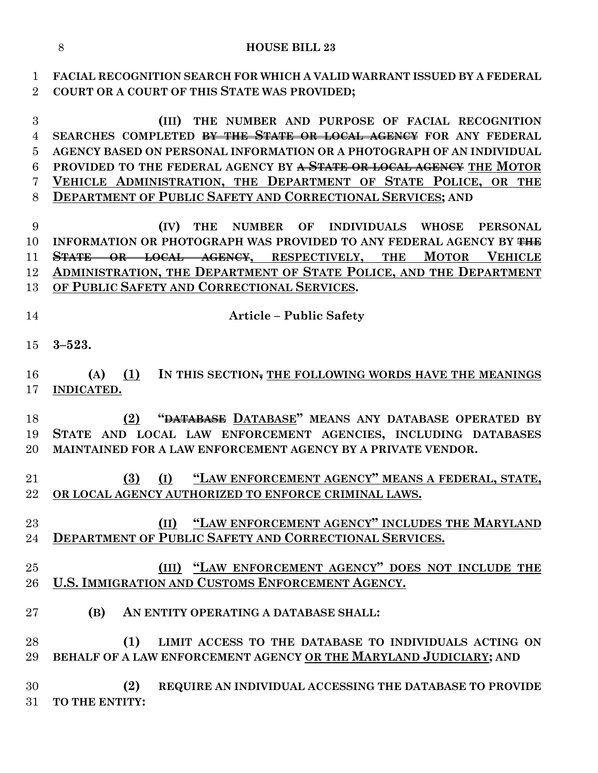**FACIAL RECOGNITION SEARCH FOR WHICH A VALID WARRANT ISSUED BY A FEDERAL** 

| $\overline{2}$ | COURT OR A COURT OF THIS STATE WAS PROVIDED;                               |
|----------------|----------------------------------------------------------------------------|
| $\overline{3}$ | THE NUMBER AND PURPOSE OF FACIAL RECOGNITION<br>(III)                      |
| $\overline{4}$ | SEARCHES COMPLETED <del>BY THE STATE OR LOCAL AGENCY</del> FOR ANY FEDERAL |
| 5              | AGENCY BASED ON PERSONAL INFORMATION OR A PHOTOGRAPH OF AN INDIVIDUAL      |
| 6              | PROVIDED TO THE FEDERAL AGENCY BY A STATE OR LOCAL AGENCY THE MOTOR        |
| 7              | VEHICLE ADMINISTRATION, THE DEPARTMENT OF STATE POLICE, OR THE             |
| 8              | <b>DEPARTMENT OF PUBLIC SAFETY AND CORRECTIONAL SERVICES; AND</b>          |
| 9              | NUMBER OF INDIVIDUALS WHOSE<br>(IV)<br><b>THE</b><br><b>PERSONAL</b>       |
| 10             | INFORMATION OR PHOTOGRAPH WAS PROVIDED TO ANY FEDERAL AGENCY BY THE        |
| 11             | <b>STATE OR LOCAL AGENCY, RESPECTIVELY, THE MOTOR VEHICLE</b>              |
| 12             | ADMINISTRATION, THE DEPARTMENT OF STATE POLICE, AND THE DEPARTMENT         |
| 13             | OF PUBLIC SAFETY AND CORRECTIONAL SERVICES.                                |
|                |                                                                            |
| 14             | <b>Article – Public Safety</b>                                             |
| 15             | $3 - 523.$                                                                 |
| 16             | (A) $(1)$ IN THIS SECTION, THE FOLLOWING WORDS HAVE THE MEANINGS           |
| 17             | INDICATED.                                                                 |
|                |                                                                            |
| 18             | "DATABASE DATABASE" MEANS ANY DATABASE OPERATED BY<br>(2)                  |
| 19             | STATE AND LOCAL LAW ENFORCEMENT AGENCIES, INCLUDING DATABASES              |
| 20             | MAINTAINED FOR A LAW ENFORCEMENT AGENCY BY A PRIVATE VENDOR.               |
| 21             | (I) "LAW ENFORCEMENT AGENCY" MEANS A FEDERAL, STATE,<br>(3)                |
| 22             | OR LOCAL AGENCY AUTHORIZED TO ENFORCE CRIMINAL LAWS.                       |
|                |                                                                            |
| 23             | (II) "LAW ENFORCEMENT AGENCY" INCLUDES THE MARYLAND                        |
| 24             | <b>DEPARTMENT OF PUBLIC SAFETY AND CORRECTIONAL SERVICES.</b>              |
|                |                                                                            |
| 25             | (III) "LAW ENFORCEMENT AGENCY" DOES NOT INCLUDE THE                        |
| 26             | U.S. IMMIGRATION AND CUSTOMS ENFORCEMENT AGENCY.                           |
| 27             | (B)<br>AN ENTITY OPERATING A DATABASE SHALL:                               |

 **(1) LIMIT ACCESS TO THE DATABASE TO INDIVIDUALS ACTING ON BEHALF OF A LAW ENFORCEMENT AGENCY OR THE MARYLAND JUDICIARY; AND**

 **(2) REQUIRE AN INDIVIDUAL ACCESSING THE DATABASE TO PROVIDE TO THE ENTITY:**